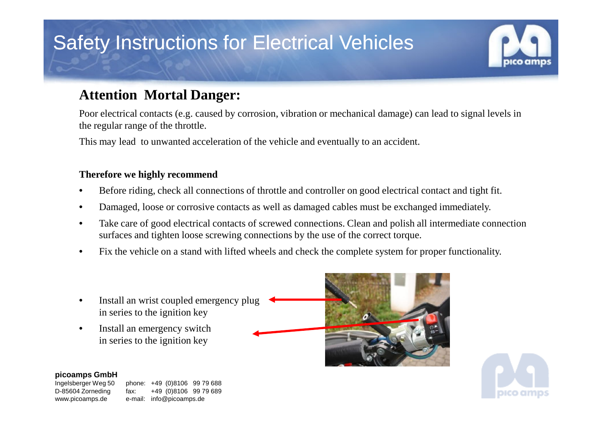# Safety Instructions for Electrical Vehicles

## **Attention Mortal Danger:**

Poor electrical contacts (e.g. caused by corrosion, vibration or mechanical damage) can lead to signal levels in the regular range of the throttle.

This may lead to unwanted acceleration of the vehicle and eventually to an accident.

### **Therefore we highly recommend**

- •Before riding, check all connections of throttle and controller on good electrical contact and tight fit.
- •Damaged, loose or corrosive contacts as well as damaged cables must be exchanged immediately.
- • Take care of good electrical contacts of screwed connections. Clean and polish all intermediate connection surfaces and tighten loose screwing connections by the use of the correct torque.
- •Fix the vehicle on a stand with lifted wheels and check the complete system for proper functionality.
- • Install an wrist coupled emergency plugin series to the ignition key
- • Install an emergency switchin series to the ignition key



Ingelsberger Weg 50 www.picoamps.de e-mail: info@picoamps.de

phone: +49 (0)8106 99 79 688 D-85604 Zorneding fax: +49 (0)8106 99 79 689





pico amps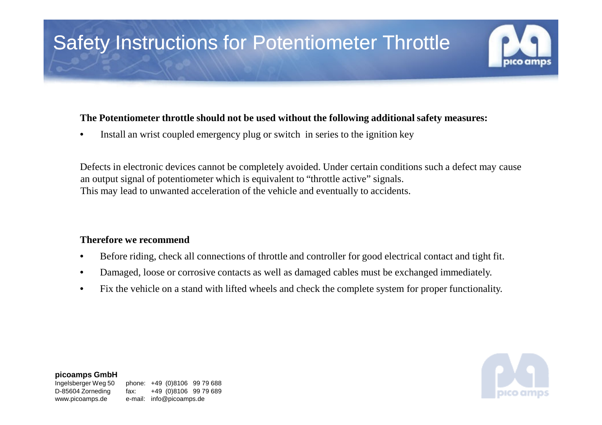# Safety Instructions for Potentiometer Throttle

### **The Potentiometer throttle should not be used without the following additional safety measures:**

•Install an wrist coupled emergency plug or switch in series to the ignition key

Defects in electronic devices cannot be completely avoided. Under certain conditions such a defect may cause an output signal of potentiometer which is equivalent to "throttle active" signals. This may lead to unwanted acceleration of the vehicle and eventually to accidents.

#### **Therefore we recommend**

- •Before riding, check all connections of throttle and controller for good electrical contact and tight fit.
- •Damaged, loose or corrosive contacts as well as damaged cables must be exchanged immediately.
- •Fix the vehicle on a stand with lifted wheels and check the complete system for proper functionality.



#### **picoamps GmbH**

Ingelsberger Weg 50 www.picoamps.de e-mail: info@picoamps.de

phone: +49 (0)8106 99 79 688 D-85604 Zorneding fax: +49 (0)8106 99 79 689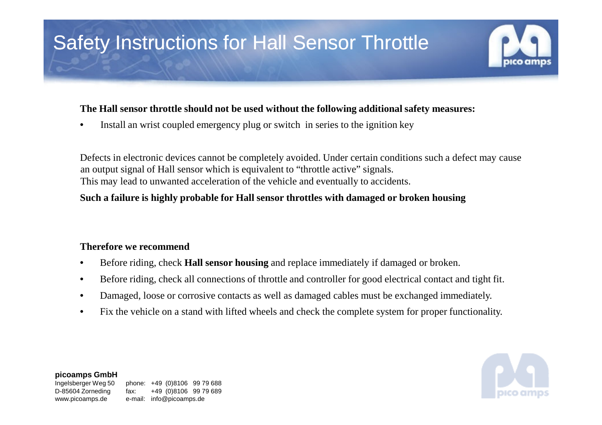# Safety Instructions for Hall Sensor Throttle

#### **The Hall sensor throttle should not be used without the following additional safety measures:**

 $\bullet$ Install an wrist coupled emergency plug or switch in series to the ignition key

Defects in electronic devices cannot be completely avoided. Under certain conditions such a defect may cause an output signal of Hall sensor which is equivalent to "throttle active" signals. This may lead to unwanted acceleration of the vehicle and eventually to accidents.

### **Such a failure is highly probable for Hall sensor throttles with damaged or broken housing**

#### **Therefore we recommend**

- •Before riding, check **Hall sensor housing** and replace immediately if damaged or broken.
- $\bullet$ Before riding, check all connections of throttle and controller for good electrical contact and tight fit.
- •Damaged, loose or corrosive contacts as well as damaged cables must be exchanged immediately.
- •Fix the vehicle on a stand with lifted wheels and check the complete system for proper functionality.



#### **picoamps GmbH**

Ingelsberger Weg 50 www.picoamps.de e-mail: info@picoamps.de

phone: +49 (0)8106 99 79 688 D-85604 Zorneding fax: +49 (0)8106 99 79 689